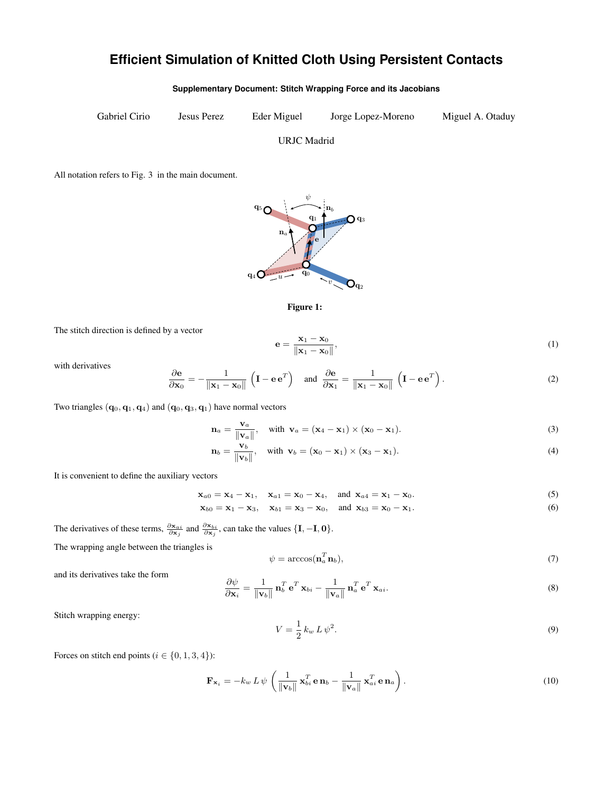## **Efficient Simulation of Knitted Cloth Using Persistent Contacts**

**Supplementary Document: Stitch Wrapping Force and its Jacobians**

Gabriel Cirio Jesus Perez Eder Miguel Jorge Lopez-Moreno Miguel A. Otaduy

URJC Madrid

All notation refers to Fig. 3 in the main document.





The stitch direction is defined by a vector

$$
\mathbf{e} = \frac{\mathbf{x}_1 - \mathbf{x}_0}{\|\mathbf{x}_1 - \mathbf{x}_0\|},\tag{1}
$$

with derivatives

$$
\frac{\partial \mathbf{e}}{\partial \mathbf{x}_0} = -\frac{1}{\|\mathbf{x}_1 - \mathbf{x}_0\|} \left( \mathbf{I} - \mathbf{e} \mathbf{e}^T \right) \quad \text{and} \quad \frac{\partial \mathbf{e}}{\partial \mathbf{x}_1} = \frac{1}{\|\mathbf{x}_1 - \mathbf{x}_0\|} \left( \mathbf{I} - \mathbf{e} \mathbf{e}^T \right). \tag{2}
$$

Two triangles  $({\bf q}_0, {\bf q}_1, {\bf q}_4)$  and  $({\bf q}_0, {\bf q}_3, {\bf q}_1)$  have normal vectors

$$
\mathbf{n}_a = \frac{\mathbf{v}_a}{\|\mathbf{v}_a\|}, \quad \text{with } \mathbf{v}_a = (\mathbf{x}_4 - \mathbf{x}_1) \times (\mathbf{x}_0 - \mathbf{x}_1). \tag{3}
$$

$$
\mathbf{n}_b = \frac{\mathbf{v}_b}{\|\mathbf{v}_b\|}, \quad \text{with } \mathbf{v}_b = (\mathbf{x}_0 - \mathbf{x}_1) \times (\mathbf{x}_3 - \mathbf{x}_1). \tag{4}
$$

It is convenient to define the auxiliary vectors

$$
\mathbf{x}_{a0} = \mathbf{x}_4 - \mathbf{x}_1, \quad \mathbf{x}_{a1} = \mathbf{x}_0 - \mathbf{x}_4, \quad \text{and} \quad \mathbf{x}_{a4} = \mathbf{x}_1 - \mathbf{x}_0. \tag{5}
$$

$$
\mathbf{x}_{b0} = \mathbf{x}_1 - \mathbf{x}_3, \quad \mathbf{x}_{b1} = \mathbf{x}_3 - \mathbf{x}_0, \quad \text{and } \mathbf{x}_{b3} = \mathbf{x}_0 - \mathbf{x}_1. \tag{6}
$$

The derivatives of these terms,  $\frac{\partial \mathbf{x}_{ai}}{\partial \mathbf{x}_j}$  and  $\frac{\partial \mathbf{x}_{bi}}{\partial \mathbf{x}_j}$ , can take the values  $\{\mathbf{I}, \mathbf{-I}, \mathbf{0}\}.$ 

The wrapping angle between the triangles is

$$
\psi = \arccos(\mathbf{n}_a^T \mathbf{n}_b),\tag{7}
$$

and its derivatives take the form

$$
\frac{\partial \psi}{\partial \mathbf{x}_i} = \frac{1}{\|\mathbf{v}_b\|} \, \mathbf{n}_b^T \, \mathbf{e}^T \, \mathbf{x}_{bi} - \frac{1}{\|\mathbf{v}_a\|} \, \mathbf{n}_a^T \, \mathbf{e}^T \, \mathbf{x}_{ai}.\tag{8}
$$

Stitch wrapping energy:

$$
V = \frac{1}{2} k_w L \psi^2. \tag{9}
$$

Forces on stitch end points ( $i \in \{0, 1, 3, 4\}$ ):

$$
\mathbf{F}_{\mathbf{x}_i} = -k_w L \psi \left( \frac{1}{\|\mathbf{v}_b\|} \mathbf{x}_{bi}^T \mathbf{e} \mathbf{n}_b - \frac{1}{\|\mathbf{v}_a\|} \mathbf{x}_{ai}^T \mathbf{e} \mathbf{n}_a \right). \tag{10}
$$